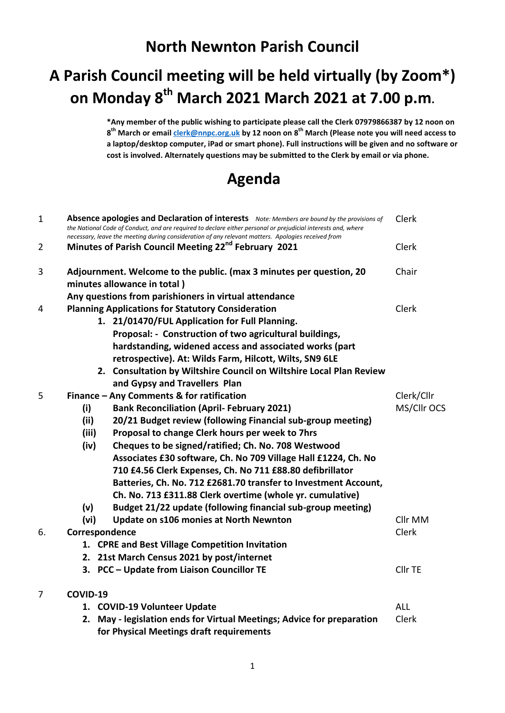## **North Newnton Parish Council**

## **A Parish Council meeting will be held virtually (by Zoom\*) on Monday 8 th March 2021 March 2021 at 7.00 p.m.**

**\*Any member of the public wishing to participate please call the Clerk 07979866387 by 12 noon on 8 th March or emai[l clerk@nnpc.org.uk](mailto:clerk@nnpc.org.uk) by 12 noon on 8th March (Please note you will need access to a laptop/desktop computer, iPad or smart phone). Full instructions will be given and no software or cost is involved. Alternately questions may be submitted to the Clerk by email or via phone.**

## **Agenda**

| $\mathbf{1}$   | Absence apologies and Declaration of interests Note: Members are bound by the provisions of<br>the National Code of Conduct, and are required to declare either personal or prejudicial interests and, where<br>necessary, leave the meeting during consideration of any relevant matters. Apologies received from |            |  |  |
|----------------|--------------------------------------------------------------------------------------------------------------------------------------------------------------------------------------------------------------------------------------------------------------------------------------------------------------------|------------|--|--|
| $\overline{2}$ | Minutes of Parish Council Meeting 22 <sup>nd</sup> February 2021                                                                                                                                                                                                                                                   | Clerk      |  |  |
| 3              | Adjournment. Welcome to the public. (max 3 minutes per question, 20<br>minutes allowance in total)                                                                                                                                                                                                                 | Chair      |  |  |
|                | Any questions from parishioners in virtual attendance                                                                                                                                                                                                                                                              |            |  |  |
| 4              | <b>Planning Applications for Statutory Consideration</b>                                                                                                                                                                                                                                                           |            |  |  |
|                | 1. 21/01470/FUL Application for Full Planning.                                                                                                                                                                                                                                                                     |            |  |  |
|                | Proposal: - Construction of two agricultural buildings,                                                                                                                                                                                                                                                            |            |  |  |
|                | hardstanding, widened access and associated works (part                                                                                                                                                                                                                                                            |            |  |  |
|                | retrospective). At: Wilds Farm, Hilcott, Wilts, SN9 6LE                                                                                                                                                                                                                                                            |            |  |  |
|                | 2. Consultation by Wiltshire Council on Wiltshire Local Plan Review                                                                                                                                                                                                                                                |            |  |  |
|                | and Gypsy and Travellers Plan                                                                                                                                                                                                                                                                                      |            |  |  |
| 5              | Finance - Any Comments & for ratification                                                                                                                                                                                                                                                                          |            |  |  |
|                | (i)<br><b>Bank Reconciliation (April- February 2021)</b>                                                                                                                                                                                                                                                           |            |  |  |
|                | (ii)<br>20/21 Budget review (following Financial sub-group meeting)                                                                                                                                                                                                                                                |            |  |  |
|                | (iii)<br>Proposal to change Clerk hours per week to 7hrs                                                                                                                                                                                                                                                           |            |  |  |
|                | (iv)<br>Cheques to be signed/ratified; Ch. No. 708 Westwood                                                                                                                                                                                                                                                        |            |  |  |
|                | Associates £30 software, Ch. No 709 Village Hall £1224, Ch. No                                                                                                                                                                                                                                                     |            |  |  |
|                | 710 £4.56 Clerk Expenses, Ch. No 711 £88.80 defibrillator                                                                                                                                                                                                                                                          |            |  |  |
|                | Batteries, Ch. No. 712 £2681.70 transfer to Investment Account,                                                                                                                                                                                                                                                    |            |  |  |
|                | Ch. No. 713 £311.88 Clerk overtime (whole yr. cumulative)                                                                                                                                                                                                                                                          |            |  |  |
|                | (v)<br>Budget 21/22 update (following financial sub-group meeting)                                                                                                                                                                                                                                                 |            |  |  |
|                | (vi)<br>Update on s106 monies at North Newnton                                                                                                                                                                                                                                                                     | Cllr MM    |  |  |
| 6.             | Correspondence                                                                                                                                                                                                                                                                                                     |            |  |  |
|                | 1. CPRE and Best Village Competition Invitation                                                                                                                                                                                                                                                                    |            |  |  |
|                | 2. 21st March Census 2021 by post/internet                                                                                                                                                                                                                                                                         |            |  |  |
|                | 3. PCC - Update from Liaison Councillor TE                                                                                                                                                                                                                                                                         | Cllr TE    |  |  |
| $\overline{7}$ | COVID-19                                                                                                                                                                                                                                                                                                           |            |  |  |
|                | 1. COVID-19 Volunteer Update                                                                                                                                                                                                                                                                                       | <b>ALL</b> |  |  |
|                | 2. May - legislation ends for Virtual Meetings; Advice for preparation                                                                                                                                                                                                                                             | Clerk      |  |  |
|                | for Physical Meetings draft requirements                                                                                                                                                                                                                                                                           |            |  |  |